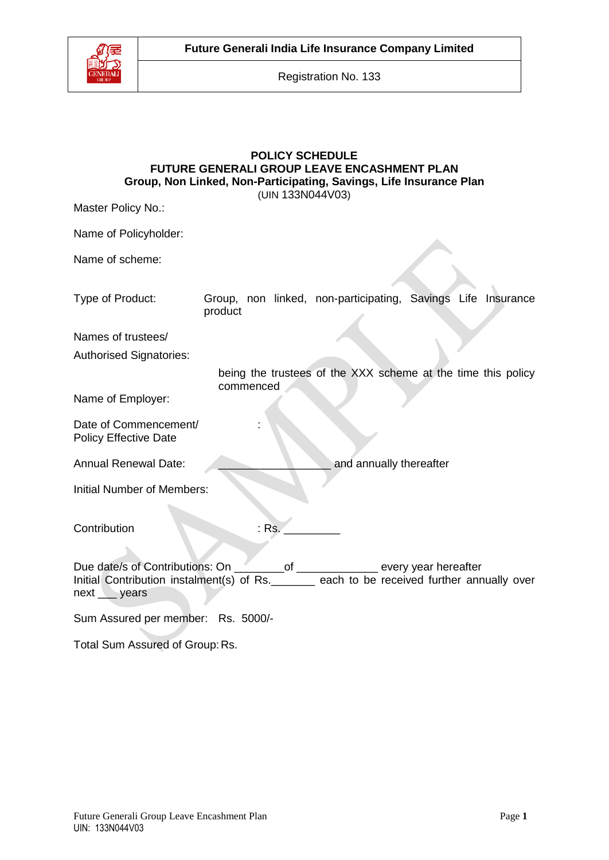

**Future Generali India Life Insurance Company Limited**

Registration No. 133

## **POLICY SCHEDULE FUTURE GENERALI GROUP LEAVE ENCASHMENT PLAN Group, Non Linked, Non-Participating, Savings, Life Insurance Plan** (UIN 133N044V03)

| Master Policy No.:                                                                                                                                                                             |           |  |                                                              |
|------------------------------------------------------------------------------------------------------------------------------------------------------------------------------------------------|-----------|--|--------------------------------------------------------------|
| Name of Policyholder:                                                                                                                                                                          |           |  |                                                              |
| Name of scheme:                                                                                                                                                                                |           |  |                                                              |
| Type of Product:                                                                                                                                                                               | product   |  | Group, non linked, non-participating, Savings Life Insurance |
| Names of trustees/                                                                                                                                                                             |           |  |                                                              |
| <b>Authorised Signatories:</b>                                                                                                                                                                 |           |  |                                                              |
|                                                                                                                                                                                                | commenced |  | being the trustees of the XXX scheme at the time this policy |
| Name of Employer:                                                                                                                                                                              |           |  |                                                              |
| Date of Commencement/<br><b>Policy Effective Date</b>                                                                                                                                          |           |  |                                                              |
| <b>Annual Renewal Date:</b><br>and annually thereafter                                                                                                                                         |           |  |                                                              |
| <b>Initial Number of Members:</b>                                                                                                                                                              |           |  |                                                              |
| Contribution                                                                                                                                                                                   | $:$ Rs.   |  |                                                              |
| Due date/s of Contributions: On _________ of ____________ every year hereafter<br>Initial Contribution instalment(s) of Rs. _______ each to be received further annually over<br>next __ years |           |  |                                                              |
| Sum Assured per member: Rs. 5000/-                                                                                                                                                             |           |  |                                                              |
| Total Sum Assured of Group: Rs.                                                                                                                                                                |           |  |                                                              |